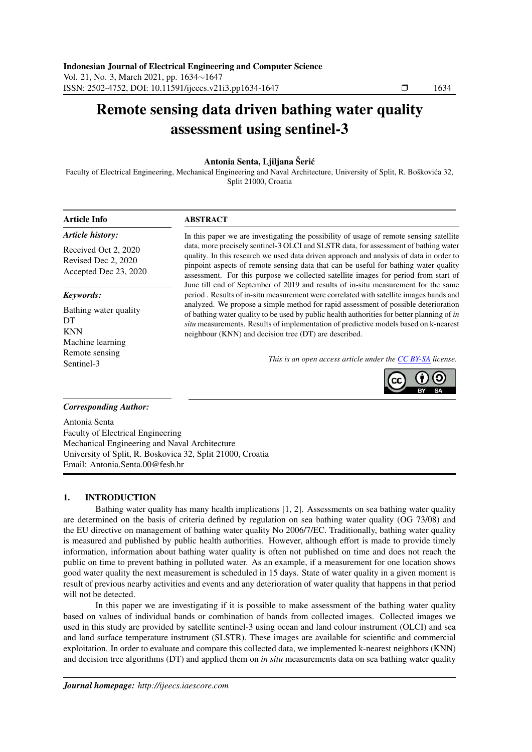# Remote sensing data driven bathing water quality assessment using sentinel-3

# Antonia Senta, Ljiljana Šerić

Faculty of Electrical Engineering, Mechanical Engineering and Naval Architecture, University of Split, R. Boškovića 32, Split 21000, Croatia

| <b>Article Info</b>                                                         | <b>ABSTRACT</b>                                                                                                                                                                                                                                                                                                                                                                                                                                      |  |  |
|-----------------------------------------------------------------------------|------------------------------------------------------------------------------------------------------------------------------------------------------------------------------------------------------------------------------------------------------------------------------------------------------------------------------------------------------------------------------------------------------------------------------------------------------|--|--|
| Article history:                                                            | In this paper we are investigating the possibility of usage of remote sensing satellite                                                                                                                                                                                                                                                                                                                                                              |  |  |
| Received Oct 2, 2020<br>Revised Dec 2, 2020<br>Accepted Dec 23, 2020        | data, more precisely sentinel-3 OLCI and SLSTR data, for assessment of bathing water<br>quality. In this research we used data driven approach and analysis of data in order to<br>pinpoint aspects of remote sensing data that can be useful for bathing water quality<br>assessment. For this purpose we collected satellite images for period from start of<br>June till end of September of 2019 and results of in-situ measurement for the same |  |  |
| Keywords:<br>Bathing water quality<br>DT.<br><b>KNN</b><br>Machine learning | period. Results of in-situ measurement were correlated with satellite images bands and<br>analyzed. We propose a simple method for rapid assessment of possible deterioration<br>of bathing water quality to be used by public health authorities for better planning of in<br>situ measurements. Results of implementation of predictive models based on k-nearest<br>neighbour (KNN) and decision tree (DT) are described.                         |  |  |
| Remote sensing<br>Sentinel-3                                                | This is an open access article under the <b>CC</b> BY-SA license.                                                                                                                                                                                                                                                                                                                                                                                    |  |  |



# *Corresponding Author:*

Antonia Senta Faculty of Electrical Engineering Mechanical Engineering and Naval Architecture University of Split, R. Boskovica 32, Split 21000, Croatia Email: Antonia.Senta.00@fesb.hr

# 1. INTRODUCTION

Bathing water quality has many health implications [1, 2]. Assessments on sea bathing water quality are determined on the basis of criteria defined by regulation on sea bathing water quality (OG 73/08) and the EU directive on management of bathing water quality No 2006/7/EC. Traditionally, bathing water quality is measured and published by public health authorities. However, although effort is made to provide timely information, information about bathing water quality is often not published on time and does not reach the public on time to prevent bathing in polluted water. As an example, if a measurement for one location shows good water quality the next measurement is scheduled in 15 days. State of water quality in a given moment is result of previous nearby activities and events and any deterioration of water quality that happens in that period will not be detected.

In this paper we are investigating if it is possible to make assessment of the bathing water quality based on values of individual bands or combination of bands from collected images. Collected images we used in this study are provided by satellite sentinel-3 using ocean and land colour instrument (OLCI) and sea and land surface temperature instrument (SLSTR). These images are available for scientific and commercial exploitation. In order to evaluate and compare this collected data, we implemented k-nearest neighbors (KNN) and decision tree algorithms (DT) and applied them on *in situ* measurements data on sea bathing water quality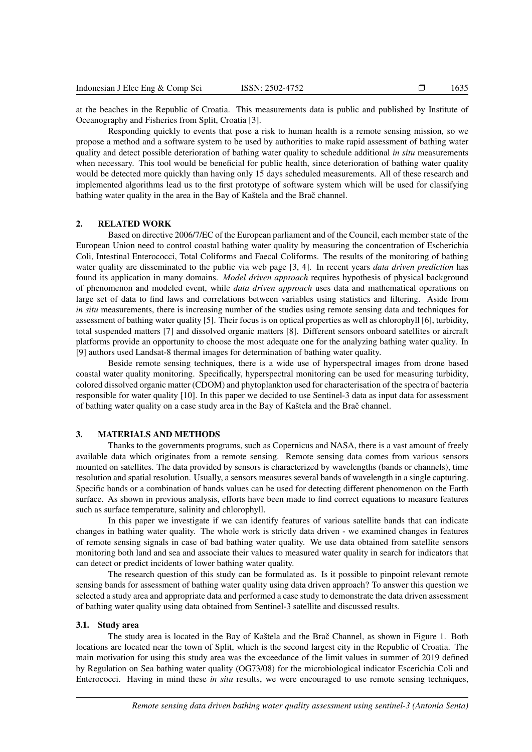at the beaches in the Republic of Croatia. This measurements data is public and published by Institute of Oceanography and Fisheries from Split, Croatia [3].

Responding quickly to events that pose a risk to human health is a remote sensing mission, so we propose a method and a software system to be used by authorities to make rapid assessment of bathing water quality and detect possible deterioration of bathing water quality to schedule additional *in situ* measurements when necessary. This tool would be beneficial for public health, since deterioration of bathing water quality would be detected more quickly than having only 15 days scheduled measurements. All of these research and implemented algorithms lead us to the first prototype of software system which will be used for classifying bathing water quality in the area in the Bay of Kaštela and the Brač channel.

### 2. RELATED WORK

Based on directive 2006/7/EC of the European parliament and of the Council, each member state of the European Union need to control coastal bathing water quality by measuring the concentration of Escherichia Coli, Intestinal Enterococci, Total Coliforms and Faecal Coliforms. The results of the monitoring of bathing water quality are disseminated to the public via web page [3, 4]. In recent years *data driven prediction* has found its application in many domains. *Model driven approach* requires hypothesis of physical background of phenomenon and modeled event, while *data driven approach* uses data and mathematical operations on large set of data to find laws and correlations between variables using statistics and filtering. Aside from *in situ* measurements, there is increasing number of the studies using remote sensing data and techniques for assessment of bathing water quality [5]. Their focus is on optical properties as well as chlorophyll [6], turbidity, total suspended matters [7] and dissolved organic matters [8]. Different sensors onboard satellites or aircraft platforms provide an opportunity to choose the most adequate one for the analyzing bathing water quality. In [9] authors used Landsat-8 thermal images for determination of bathing water quality.

Beside remote sensing techniques, there is a wide use of hyperspectral images from drone based coastal water quality monitoring. Specifically, hyperspectral monitoring can be used for measuring turbidity, colored dissolved organic matter (CDOM) and phytoplankton used for characterisation of the spectra of bacteria responsible for water quality [10]. In this paper we decided to use Sentinel-3 data as input data for assessment of bathing water quality on a case study area in the Bay of Kastela and the Brac channel.

# 3. MATERIALS AND METHODS

Thanks to the governments programs, such as Copernicus and NASA, there is a vast amount of freely available data which originates from a remote sensing. Remote sensing data comes from various sensors mounted on satellites. The data provided by sensors is characterized by wavelengths (bands or channels), time resolution and spatial resolution. Usually, a sensors measures several bands of wavelength in a single capturing. Specific bands or a combination of bands values can be used for detecting different phenomenon on the Earth surface. As shown in previous analysis, efforts have been made to find correct equations to measure features such as surface temperature, salinity and chlorophyll.

In this paper we investigate if we can identify features of various satellite bands that can indicate changes in bathing water quality. The whole work is strictly data driven - we examined changes in features of remote sensing signals in case of bad bathing water quality. We use data obtained from satellite sensors monitoring both land and sea and associate their values to measured water quality in search for indicators that can detect or predict incidents of lower bathing water quality.

The research question of this study can be formulated as. Is it possible to pinpoint relevant remote sensing bands for assessment of bathing water quality using data driven approach? To answer this question we selected a study area and appropriate data and performed a case study to demonstrate the data driven assessment of bathing water quality using data obtained from Sentinel-3 satellite and discussed results.

#### 3.1. Study area

The study area is located in the Bay of Kaštela and the Brač Channel, as shown in Figure 1. Both locations are located near the town of Split, which is the second largest city in the Republic of Croatia. The main motivation for using this study area was the exceedance of the limit values in summer of 2019 defined by Regulation on Sea bathing water quality (OG73/08) for the microbiological indicator Escerichia Coli and Enterococci. Having in mind these *in situ* results, we were encouraged to use remote sensing techniques,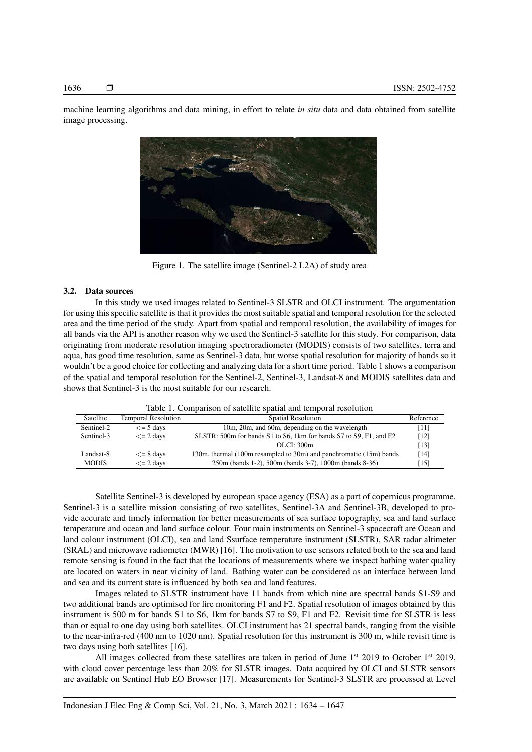machine learning algorithms and data mining, in effort to relate *in situ* data and data obtained from satellite image processing.



Figure 1. The satellite image (Sentinel-2 L2A) of study area

## 3.2. Data sources

In this study we used images related to Sentinel-3 SLSTR and OLCI instrument. The argumentation for using this specific satellite is that it provides the most suitable spatial and temporal resolution for the selected area and the time period of the study. Apart from spatial and temporal resolution, the availability of images for all bands via the API is another reason why we used the Sentinel-3 satellite for this study. For comparison, data originating from moderate resolution imaging spectroradiometer (MODIS) consists of two satellites, terra and aqua, has good time resolution, same as Sentinel-3 data, but worse spatial resolution for majority of bands so it wouldn't be a good choice for collecting and analyzing data for a short time period. Table 1 shows a comparison of the spatial and temporal resolution for the Sentinel-2, Sentinel-3, Landsat-8 and MODIS satellites data and shows that Sentinel-3 is the most suitable for our research.

| Satellite                    | <b>Temporal Resolution</b> | Spatial Resolution                                                 |      |
|------------------------------|----------------------------|--------------------------------------------------------------------|------|
| Sentinel-2                   | $\leq$ = 5 days            | 10m, 20m, and 60m, depending on the wavelength                     |      |
| Sentinel-3                   | $\leq$ = 2 days            | SLSTR: 500m for bands S1 to S6, 1km for bands S7 to S9, F1, and F2 | [12] |
|                              |                            | OLCI: 300m                                                         | [13] |
| Landsat-8<br>$\leq$ = 8 days |                            | 130m, thermal (100m resampled to 30m) and panchromatic (15m) bands | [14] |
| <b>MODIS</b>                 | $\leq$ = 2 days            | 250m (bands 1-2), 500m (bands 3-7), 1000m (bands 8-36)             | [15] |

Satellite Sentinel-3 is developed by european space agency (ESA) as a part of copernicus programme. Sentinel-3 is a satellite mission consisting of two satellites, Sentinel-3A and Sentinel-3B, developed to provide accurate and timely information for better measurements of sea surface topography, sea and land surface temperature and ocean and land surface colour. Four main instruments on Sentinel-3 spacecraft are Ocean and land colour instrument (OLCI), sea and land Ssurface temperature instrument (SLSTR), SAR radar altimeter (SRAL) and microwave radiometer (MWR) [16]. The motivation to use sensors related both to the sea and land remote sensing is found in the fact that the locations of measurements where we inspect bathing water quality are located on waters in near vicinity of land. Bathing water can be considered as an interface between land and sea and its current state is influenced by both sea and land features.

Images related to SLSTR instrument have 11 bands from which nine are spectral bands S1-S9 and two additional bands are optimised for fire monitoring F1 and F2. Spatial resolution of images obtained by this instrument is 500 m for bands S1 to S6, 1km for bands S7 to S9, F1 and F2. Revisit time for SLSTR is less than or equal to one day using both satellites. OLCI instrument has 21 spectral bands, ranging from the visible to the near-infra-red (400 nm to 1020 nm). Spatial resolution for this instrument is 300 m, while revisit time is two days using both satellites [16].

All images collected from these satellites are taken in period of June 1<sup>st</sup> 2019 to October 1<sup>st</sup> 2019, with cloud cover percentage less than 20% for SLSTR images. Data acquired by OLCI and SLSTR sensors are available on Sentinel Hub EO Browser [17]. Measurements for Sentinel-3 SLSTR are processed at Level

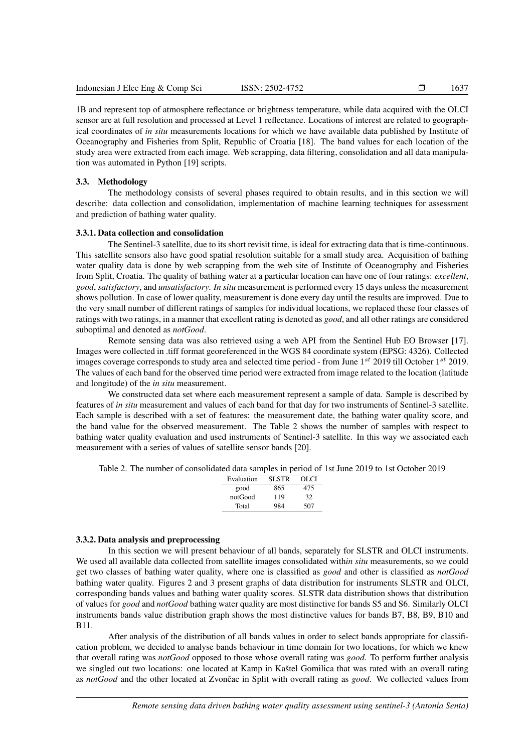1B and represent top of atmosphere reflectance or brightness temperature, while data acquired with the OLCI sensor are at full resolution and processed at Level 1 reflectance. Locations of interest are related to geographical coordinates of *in situ* measurements locations for which we have available data published by Institute of Oceanography and Fisheries from Split, Republic of Croatia [18]. The band values for each location of the study area were extracted from each image. Web scrapping, data filtering, consolidation and all data manipulation was automated in Python [19] scripts.

#### 3.3. Methodology

The methodology consists of several phases required to obtain results, and in this section we will describe: data collection and consolidation, implementation of machine learning techniques for assessment and prediction of bathing water quality.

#### 3.3.1. Data collection and consolidation

The Sentinel-3 satellite, due to its short revisit time, is ideal for extracting data that is time-continuous. This satellite sensors also have good spatial resolution suitable for a small study area. Acquisition of bathing water quality data is done by web scrapping from the web site of Institute of Oceanography and Fisheries from Split, Croatia. The quality of bathing water at a particular location can have one of four ratings: *excellent*, *good*, *satisfactory*, and *unsatisfactory*. *In situ* measurement is performed every 15 days unless the measurement shows pollution. In case of lower quality, measurement is done every day until the results are improved. Due to the very small number of different ratings of samples for individual locations, we replaced these four classes of ratings with two ratings, in a manner that excellent rating is denoted as *good*, and all other ratings are considered suboptimal and denoted as *notGood*.

Remote sensing data was also retrieved using a web API from the Sentinel Hub EO Browser [17]. Images were collected in .tiff format georeferenced in the WGS 84 coordinate system (EPSG: 4326). Collected images coverage corresponds to study area and selected time period - from June  $1^{st}$  2019 till October  $1^{st}$  2019. The values of each band for the observed time period were extracted from image related to the location (latitude and longitude) of the *in situ* measurement.

We constructed data set where each measurement represent a sample of data. Sample is described by features of *in situ* measurement and values of each band for that day for two instruments of Sentinel-3 satellite. Each sample is described with a set of features: the measurement date, the bathing water quality score, and the band value for the observed measurement. The Table 2 shows the number of samples with respect to bathing water quality evaluation and used instruments of Sentinel-3 satellite. In this way we associated each measurement with a series of values of satellite sensor bands [20].

Table 2. The number of consolidated data samples in period of 1st June 2019 to 1st October 2019

| Evaluation | <b>SLSTR</b> | OLCI |
|------------|--------------|------|
| good       | 865          | 475  |
| notGood    | 119          | 32   |
| Total      | 984          | 507  |
|            |              |      |

#### 3.3.2. Data analysis and preprocessing

In this section we will present behaviour of all bands, separately for SLSTR and OLCI instruments. We used all available data collected from satellite images consolidated with*in situ* measurements, so we could get two classes of bathing water quality, where one is classified as *good* and other is classified as *notGood* bathing water quality. Figures 2 and 3 present graphs of data distribution for instruments SLSTR and OLCI, corresponding bands values and bathing water quality scores. SLSTR data distribution shows that distribution of values for *good* and *notGood* bathing water quality are most distinctive for bands S5 and S6. Similarly OLCI instruments bands value distribution graph shows the most distinctive values for bands B7, B8, B9, B10 and B11.

After analysis of the distribution of all bands values in order to select bands appropriate for classification problem, we decided to analyse bands behaviour in time domain for two locations, for which we knew that overall rating was *notGood* opposed to those whose overall rating was *good*. To perform further analysis we singled out two locations: one located at Kamp in Kaštel Gomilica that was rated with an overall rating as *notGood* and the other located at Zvončac in Split with overall rating as *good*. We collected values from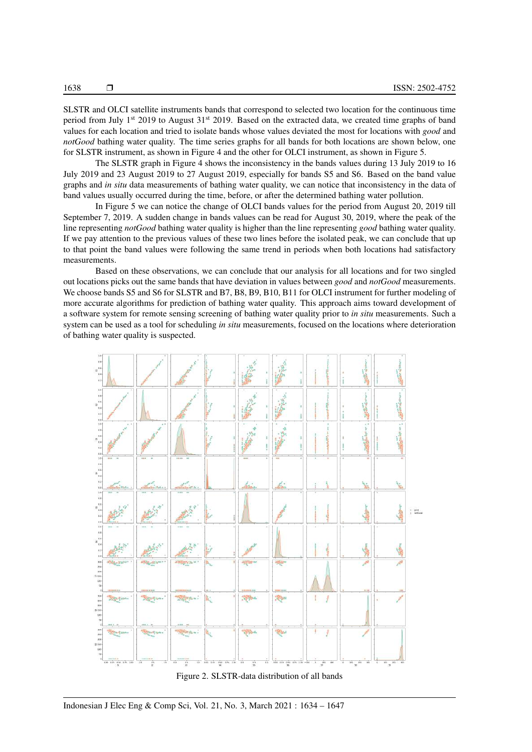SLSTR and OLCI satellite instruments bands that correspond to selected two location for the continuous time period from July 1<sup>st</sup> 2019 to August  $31<sup>st</sup>$  2019. Based on the extracted data, we created time graphs of band values for each location and tried to isolate bands whose values deviated the most for locations with *good* and *notGood* bathing water quality. The time series graphs for all bands for both locations are shown below, one for SLSTR instrument, as shown in Figure 4 and the other for OLCI instrument, as shown in Figure 5.

The SLSTR graph in Figure 4 shows the inconsistency in the bands values during 13 July 2019 to 16 July 2019 and 23 August 2019 to 27 August 2019, especially for bands S5 and S6. Based on the band value graphs and *in situ* data measurements of bathing water quality, we can notice that inconsistency in the data of band values usually occurred during the time, before, or after the determined bathing water pollution.

In Figure 5 we can notice the change of OLCI bands values for the period from August 20, 2019 till September 7, 2019. A sudden change in bands values can be read for August 30, 2019, where the peak of the line representing *notGood* bathing water quality is higher than the line representing *good* bathing water quality. If we pay attention to the previous values of these two lines before the isolated peak, we can conclude that up to that point the band values were following the same trend in periods when both locations had satisfactory measurements.

Based on these observations, we can conclude that our analysis for all locations and for two singled out locations picks out the same bands that have deviation in values between *good* and *notGood* measurements. We choose bands S5 and S6 for SLSTR and B7, B8, B9, B10, B11 for OLCI instrument for further modeling of more accurate algorithms for prediction of bathing water quality. This approach aims toward development of a software system for remote sensing screening of bathing water quality prior to *in situ* measurements. Such a system can be used as a tool for scheduling *in situ* measurements, focused on the locations where deterioration of bathing water quality is suspected.



Figure 2. SLSTR-data distribution of all bands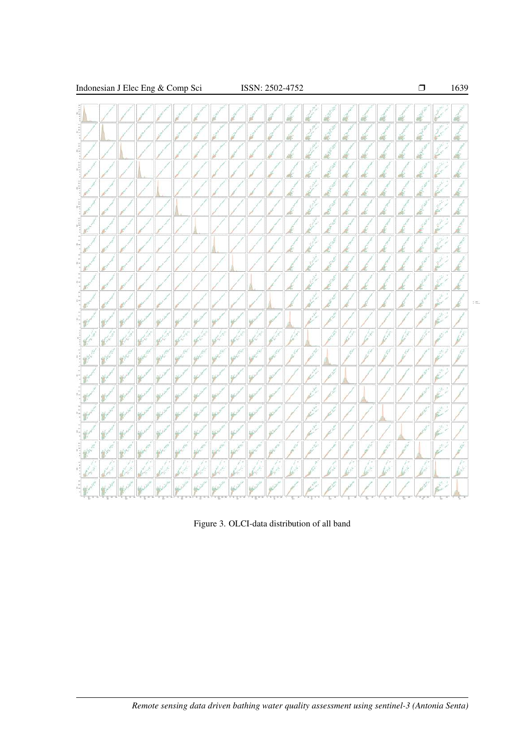

Figure 3. OLCI-data distribution of all band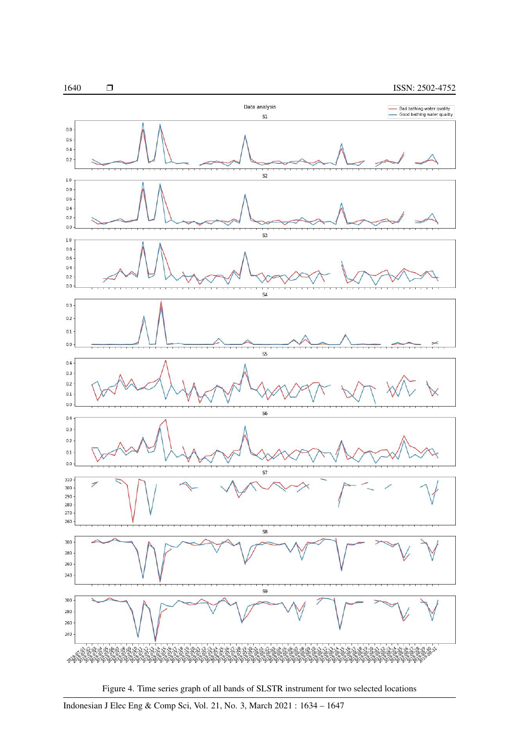

Figure 4. Time series graph of all bands of SLSTR instrument for two selected locations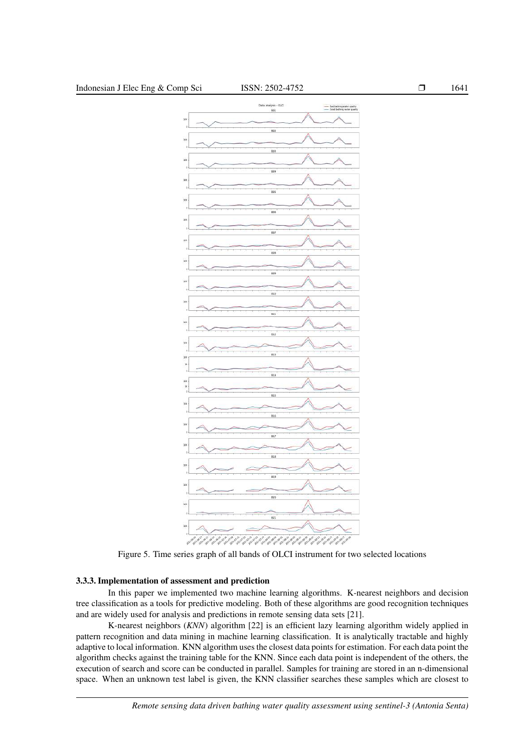

Figure 5. Time series graph of all bands of OLCI instrument for two selected locations

# 3.3.3. Implementation of assessment and prediction

In this paper we implemented two machine learning algorithms. K-nearest neighbors and decision tree classification as a tools for predictive modeling. Both of these algorithms are good recognition techniques and are widely used for analysis and predictions in remote sensing data sets [21].

K-nearest neighbors (*KNN*) algorithm [22] is an efficient lazy learning algorithm widely applied in pattern recognition and data mining in machine learning classification. It is analytically tractable and highly adaptive to local information. KNN algorithm uses the closest data points for estimation. For each data point the algorithm checks against the training table for the KNN. Since each data point is independent of the others, the execution of search and score can be conducted in parallel. Samples for training are stored in an n-dimensional space. When an unknown test label is given, the KNN classifier searches these samples which are closest to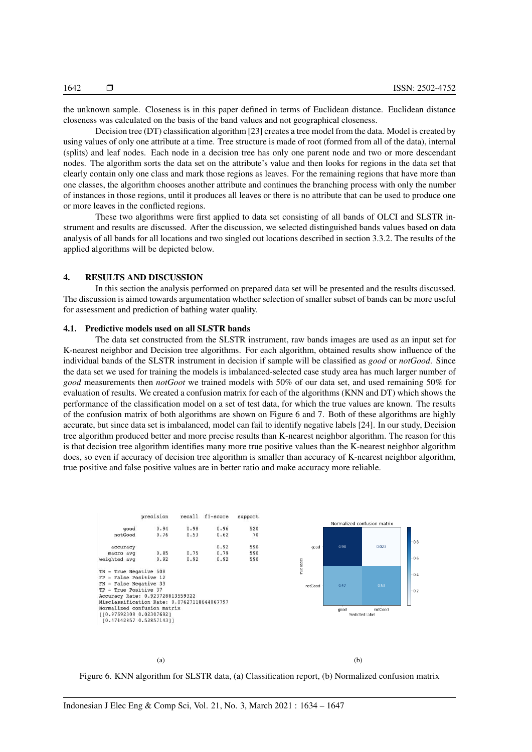the unknown sample. Closeness is in this paper defined in terms of Euclidean distance. Euclidean distance closeness was calculated on the basis of the band values and not geographical closeness.

Decision tree (DT) classification algorithm [23] creates a tree model from the data. Model is created by using values of only one attribute at a time. Tree structure is made of root (formed from all of the data), internal (splits) and leaf nodes. Each node in a decision tree has only one parent node and two or more descendant nodes. The algorithm sorts the data set on the attribute's value and then looks for regions in the data set that clearly contain only one class and mark those regions as leaves. For the remaining regions that have more than one classes, the algorithm chooses another attribute and continues the branching process with only the number of instances in those regions, until it produces all leaves or there is no attribute that can be used to produce one or more leaves in the conflicted regions.

These two algorithms were first applied to data set consisting of all bands of OLCI and SLSTR instrument and results are discussed. After the discussion, we selected distinguished bands values based on data analysis of all bands for all locations and two singled out locations described in section 3.3.2. The results of the applied algorithms will be depicted below.

### 4. RESULTS AND DISCUSSION

In this section the analysis performed on prepared data set will be presented and the results discussed. The discussion is aimed towards argumentation whether selection of smaller subset of bands can be more useful for assessment and prediction of bathing water quality.

# 4.1. Predictive models used on all SLSTR bands

The data set constructed from the SLSTR instrument, raw bands images are used as an input set for K-nearest neighbor and Decision tree algorithms. For each algorithm, obtained results show influence of the individual bands of the SLSTR instrument in decision if sample will be classified as *good* or *notGood*. Since the data set we used for training the models is imbalanced-selected case study area has much larger number of *good* measurements then *notGoot* we trained models with 50% of our data set, and used remaining 50% for evaluation of results. We created a confusion matrix for each of the algorithms (KNN and DT) which shows the performance of the classification model on a set of test data, for which the true values are known. The results of the confusion matrix of both algorithms are shown on Figure 6 and 7. Both of these algorithms are highly accurate, but since data set is imbalanced, model can fail to identify negative labels [24]. In our study, Decision tree algorithm produced better and more precise results than K-nearest neighbor algorithm. The reason for this is that decision tree algorithm identifies many more true positive values than the K-nearest neighbor algorithm does, so even if accuracy of decision tree algorithm is smaller than accuracy of K-nearest neighbor algorithm, true positive and false positive values are in better ratio and make accuracy more reliable.



Figure 6. KNN algorithm for SLSTR data, (a) Classification report, (b) Normalized confusion matrix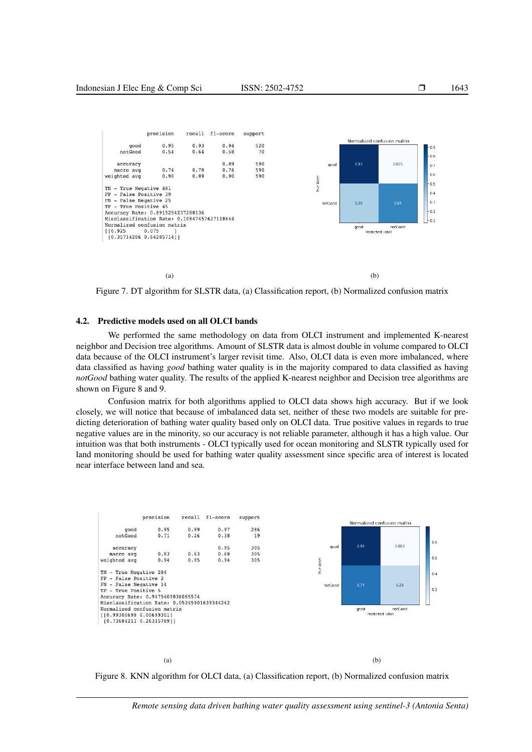

Figure 7. DT algorithm for SLSTR data, (a) Classification report, (b) Normalized confusion matrix

#### 4.2. Predictive models used on all OLCI bands

We performed the same methodology on data from OLCI instrument and implemented K-nearest neighbor and Decision tree algorithms. Amount of SLSTR data is almost double in volume compared to OLCI data because of the OLCI instrument's larger revisit time. Also, OLCI data is even more imbalanced, where data classified as having *good* bathing water quality is in the majority compared to data classified as having *notGood* bathing water quality. The results of the applied K-nearest neighbor and Decision tree algorithms are shown on Figure 8 and 9.

Confusion matrix for both algorithms applied to OLCI data shows high accuracy. But if we look closely, we will notice that because of imbalanced data set, neither of these two models are suitable for predicting deterioration of bathing water quality based only on OLCI data. True positive values in regards to true negative values are in the minority, so our accuracy is not reliable parameter, although it has a high value. Our intuition was that both instruments - OLCI typically used for ocean monitoring and SLSTR typically used for land monitoring should be used for bathing water quality assessment since specific area of interest is located near interface between land and sea.



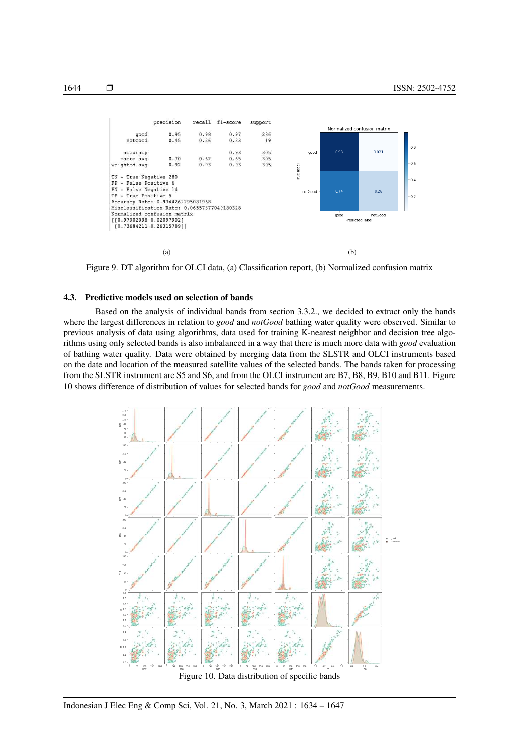

Figure 9. DT algorithm for OLCI data, (a) Classification report, (b) Normalized confusion matrix

### 4.3. Predictive models used on selection of bands

Based on the analysis of individual bands from section 3.3.2., we decided to extract only the bands where the largest differences in relation to *good* and *notGood* bathing water quality were observed. Similar to previous analysis of data using algorithms, data used for training K-nearest neighbor and decision tree algorithms using only selected bands is also imbalanced in a way that there is much more data with *good* evaluation of bathing water quality. Data were obtained by merging data from the SLSTR and OLCI instruments based on the date and location of the measured satellite values of the selected bands. The bands taken for processing from the SLSTR instrument are S5 and S6, and from the OLCI instrument are B7, B8, B9, B10 and B11. Figure 10 shows difference of distribution of values for selected bands for *good* and *notGood* measurements.

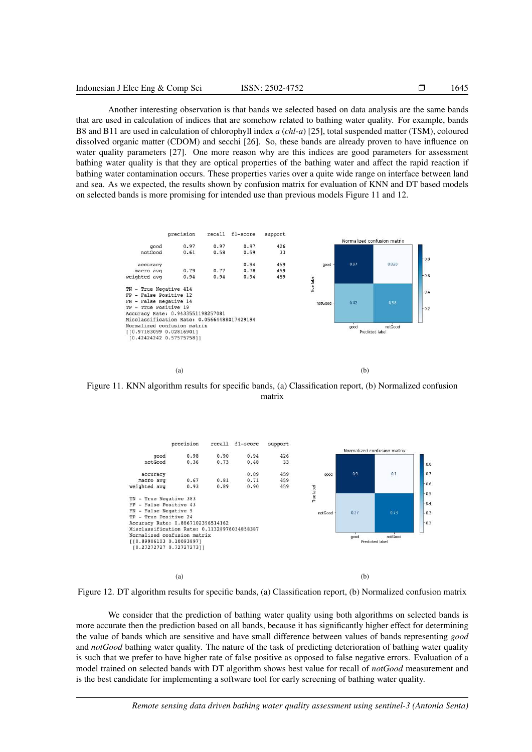Another interesting observation is that bands we selected based on data analysis are the same bands that are used in calculation of indices that are somehow related to bathing water quality. For example, bands B8 and B11 are used in calculation of chlorophyll index *a* (*chl-a*) [25], total suspended matter (TSM), coloured dissolved organic matter (CDOM) and secchi [26]. So, these bands are already proven to have influence on water quality parameters [27]. One more reason why are this indices are good parameters for assessment bathing water quality is that they are optical properties of the bathing water and affect the rapid reaction if bathing water contamination occurs. These properties varies over a quite wide range on interface between land and sea. As we expected, the results shown by confusion matrix for evaluation of KNN and DT based models on selected bands is more promising for intended use than previous models Figure 11 and 12.



Figure 11. KNN algorithm results for specific bands, (a) Classification report, (b) Normalized confusion matrix



Figure 12. DT algorithm results for specific bands, (a) Classification report, (b) Normalized confusion matrix

We consider that the prediction of bathing water quality using both algorithms on selected bands is more accurate then the prediction based on all bands, because it has significantly higher effect for determining the value of bands which are sensitive and have small difference between values of bands representing *good* and *notGood* bathing water quality. The nature of the task of predicting deterioration of bathing water quality is such that we prefer to have higher rate of false positive as opposed to false negative errors. Evaluation of a model trained on selected bands with DT algorithm shows best value for recall of *notGood* measurement and is the best candidate for implementing a software tool for early screening of bathing water quality.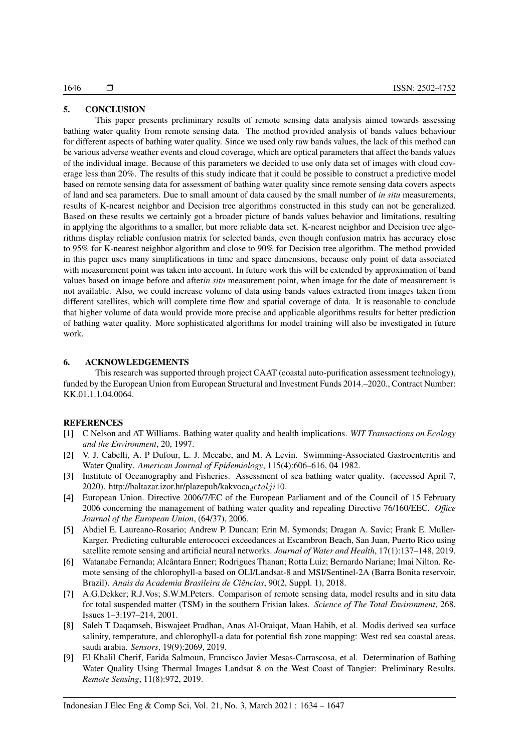# 5. CONCLUSION

This paper presents preliminary results of remote sensing data analysis aimed towards assessing bathing water quality from remote sensing data. The method provided analysis of bands values behaviour for different aspects of bathing water quality. Since we used only raw bands values, the lack of this method can be various adverse weather events and cloud coverage, which are optical parameters that affect the bands values of the individual image. Because of this parameters we decided to use only data set of images with cloud coverage less than 20%. The results of this study indicate that it could be possible to construct a predictive model based on remote sensing data for assessment of bathing water quality since remote sensing data covers aspects of land and sea parameters. Due to small amount of data caused by the small number of *in situ* measurements, results of K-nearest neighbor and Decision tree algorithms constructed in this study can not be generalized. Based on these results we certainly got a broader picture of bands values behavior and limitations, resulting in applying the algorithms to a smaller, but more reliable data set. K-nearest neighbor and Decision tree algorithms display reliable confusion matrix for selected bands, even though confusion matrix has accuracy close to 95% for K-nearest neighbor algorithm and close to 90% for Decision tree algorithm. The method provided in this paper uses many simplifications in time and space dimensions, because only point of data associated with measurement point was taken into account. In future work this will be extended by approximation of band values based on image before and after*in situ* measurement point, when image for the date of measurement is not available. Also, we could increase volume of data using bands values extracted from images taken from different satellites, which will complete time flow and spatial coverage of data. It is reasonable to conclude that higher volume of data would provide more precise and applicable algorithms results for better prediction of bathing water quality. More sophisticated algorithms for model training will also be investigated in future work.

# 6. ACKNOWLEDGEMENTS

This research was supported through project CAAT (coastal auto-purification assessment technology), funded by the European Union from European Structural and Investment Funds 2014.–2020., Contract Number: KK.01.1.1.04.0064.

#### REFERENCES

- [1] C Nelson and AT Williams. Bathing water quality and health implications. *WIT Transactions on Ecology and the Environment*, 20, 1997.
- [2] V. J. Cabelli, A. P Dufour, L. J. Mccabe, and M. A Levin. Swimming-Associated Gastroenteritis and Water Quality. *American Journal of Epidemiology*, 115(4):606–616, 04 1982.
- [3] Institute of Oceanography and Fisheries. Assessment of sea bathing water quality. (accessed April 7, 2020). http://baltazar.izor.hr/plazepub/kakvoca $\det$
- [4] European Union. Directive 2006/7/EC of the European Parliament and of the Council of 15 February 2006 concerning the management of bathing water quality and repealing Directive 76/160/EEC. *Office Journal of the European Union*, (64/37), 2006.
- [5] Abdiel E. Laureano-Rosario; Andrew P. Duncan; Erin M. Symonds; Dragan A. Savic; Frank E. Muller-Karger. Predicting culturable enterococci exceedances at Escambron Beach, San Juan, Puerto Rico using satellite remote sensing and artificial neural networks. *Journal of Water and Health*, 17(1):137–148, 2019.
- [6] Watanabe Fernanda; Alcântara Enner; Rodrigues Thanan; Rotta Luiz; Bernardo Nariane; Imai Nilton. Remote sensing of the chlorophyll-a based on OLI/Landsat-8 and MSI/Sentinel-2A (Barra Bonita reservoir, Brazil). *Anais da Academia Brasileira de Ciências*, 90(2, Suppl. 1), 2018.
- [7] A.G.Dekker; R.J.Vos; S.W.M.Peters. Comparison of remote sensing data, model results and in situ data for total suspended matter (TSM) in the southern Frisian lakes. *Science of The Total Environment*, 268, Issues 1–3:197–214, 2001.
- [8] Saleh T Daqamseh, Biswajeet Pradhan, Anas Al-Oraiqat, Maan Habib, et al. Modis derived sea surface salinity, temperature, and chlorophyll-a data for potential fish zone mapping: West red sea coastal areas, saudi arabia. *Sensors*, 19(9):2069, 2019.
- [9] El Khalil Cherif, Farida Salmoun, Francisco Javier Mesas-Carrascosa, et al. Determination of Bathing Water Quality Using Thermal Images Landsat 8 on the West Coast of Tangier: Preliminary Results. *Remote Sensing*, 11(8):972, 2019.